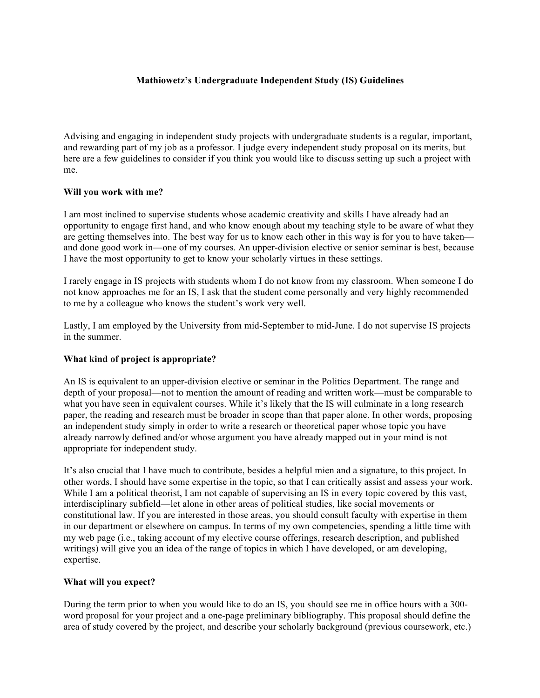# **Mathiowetz's Undergraduate Independent Study (IS) Guidelines**

Advising and engaging in independent study projects with undergraduate students is a regular, important, and rewarding part of my job as a professor. I judge every independent study proposal on its merits, but here are a few guidelines to consider if you think you would like to discuss setting up such a project with me.

## **Will you work with me?**

I am most inclined to supervise students whose academic creativity and skills I have already had an opportunity to engage first hand, and who know enough about my teaching style to be aware of what they are getting themselves into. The best way for us to know each other in this way is for you to have taken and done good work in—one of my courses. An upper-division elective or senior seminar is best, because I have the most opportunity to get to know your scholarly virtues in these settings.

I rarely engage in IS projects with students whom I do not know from my classroom. When someone I do not know approaches me for an IS, I ask that the student come personally and very highly recommended to me by a colleague who knows the student's work very well.

Lastly, I am employed by the University from mid-September to mid-June. I do not supervise IS projects in the summer.

## **What kind of project is appropriate?**

An IS is equivalent to an upper-division elective or seminar in the Politics Department. The range and depth of your proposal—not to mention the amount of reading and written work—must be comparable to what you have seen in equivalent courses. While it's likely that the IS will culminate in a long research paper, the reading and research must be broader in scope than that paper alone. In other words, proposing an independent study simply in order to write a research or theoretical paper whose topic you have already narrowly defined and/or whose argument you have already mapped out in your mind is not appropriate for independent study.

It's also crucial that I have much to contribute, besides a helpful mien and a signature, to this project. In other words, I should have some expertise in the topic, so that I can critically assist and assess your work. While I am a political theorist, I am not capable of supervising an IS in every topic covered by this vast, interdisciplinary subfield—let alone in other areas of political studies, like social movements or constitutional law. If you are interested in those areas, you should consult faculty with expertise in them in our department or elsewhere on campus. In terms of my own competencies, spending a little time with my web page (i.e., taking account of my elective course offerings, research description, and published writings) will give you an idea of the range of topics in which I have developed, or am developing, expertise.

#### **What will you expect?**

During the term prior to when you would like to do an IS, you should see me in office hours with a 300 word proposal for your project and a one-page preliminary bibliography. This proposal should define the area of study covered by the project, and describe your scholarly background (previous coursework, etc.)